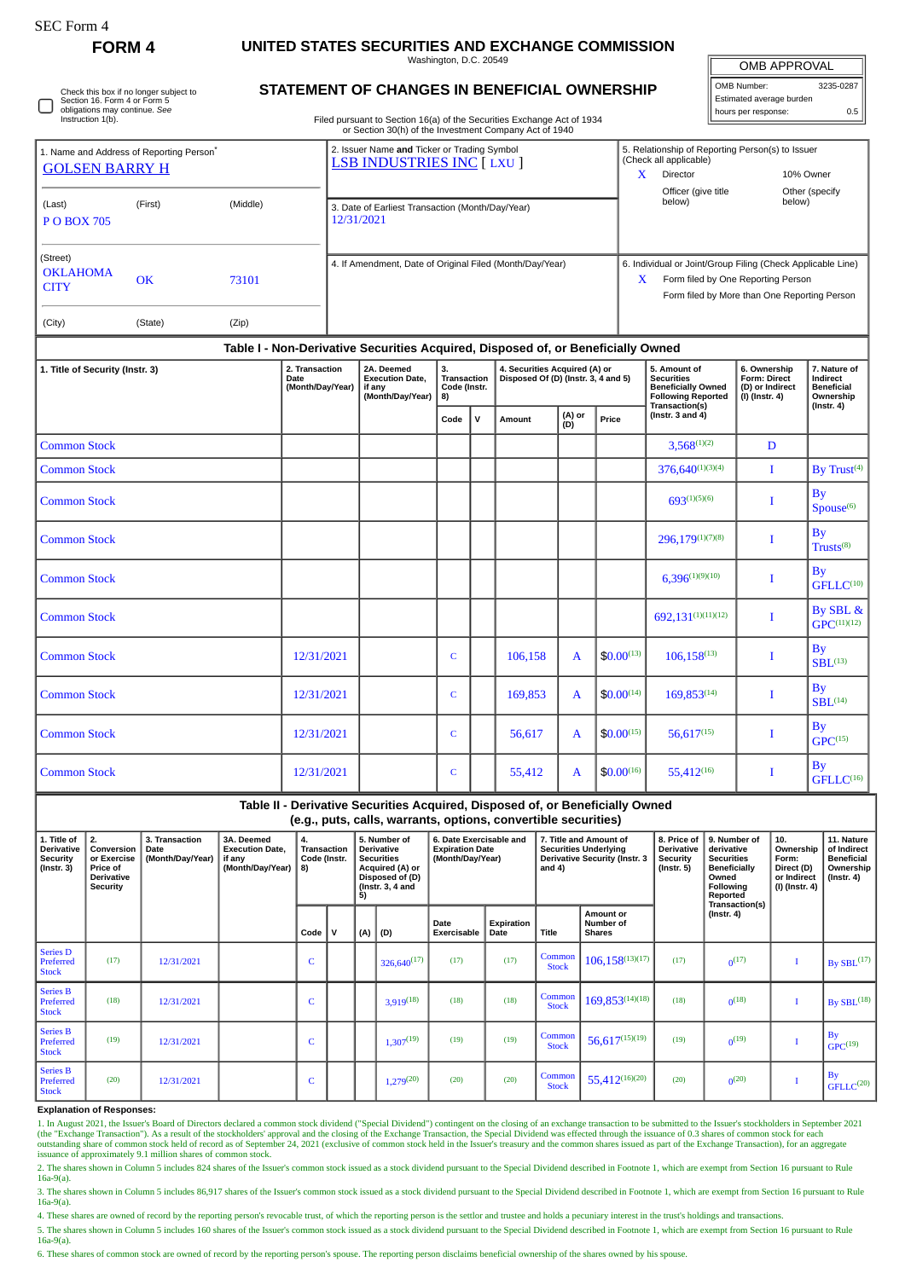| SEC Form |  |
|----------|--|
|----------|--|

**FORM 4 UNITED STATES SECURITIES AND EXCHANGE COMMISSION**

Washington, D.C. 20549

| <b>OMB APPROVAL</b>      |           |  |  |  |  |  |  |  |  |
|--------------------------|-----------|--|--|--|--|--|--|--|--|
| OMB Number:              | 3235-0287 |  |  |  |  |  |  |  |  |
| Estimated average burden |           |  |  |  |  |  |  |  |  |
| hours per response:      | 0.5       |  |  |  |  |  |  |  |  |

Check this box if no longer subject to Section 16. Form 4 or Form 5 obligations may continue. *See* Instruction 1(b).

## **STATEMENT OF CHANGES IN BENEFICIAL OWNERSHIP**

Filed pursuant to Section 16(a) of the Securities Exchange Act of 1934 or Section 30(h) of the Investment Company Act of 1940

|                                                                               |                      |                |                                            |                                                                                 | or Section Softly of the investment Company Act or 1940            |              |                             |                                                                                                                                                          |               |                               |                                                                                                                                                         |                                                                     |                                                            |
|-------------------------------------------------------------------------------|----------------------|----------------|--------------------------------------------|---------------------------------------------------------------------------------|--------------------------------------------------------------------|--------------|-----------------------------|----------------------------------------------------------------------------------------------------------------------------------------------------------|---------------|-------------------------------|---------------------------------------------------------------------------------------------------------------------------------------------------------|---------------------------------------------------------------------|------------------------------------------------------------|
| 1. Name and Address of Reporting Person <sup>*</sup><br><b>GOLSEN BARRY H</b> |                      |                |                                            | 2. Issuer Name and Ticker or Trading Symbol<br><b>LSB INDUSTRIES INC [LXU ]</b> |                                                                    |              |                             |                                                                                                                                                          |               |                               | 5. Relationship of Reporting Person(s) to Issuer<br>(Check all applicable)<br>$\mathbf{X}$<br>Director<br>10% Owner                                     |                                                                     |                                                            |
| (Last)<br><b>POBOX 705</b>                                                    | (First)              | (Middle)       |                                            |                                                                                 | 3. Date of Earliest Transaction (Month/Day/Year)<br>12/31/2021     |              |                             |                                                                                                                                                          |               | Officer (give title<br>below) | below)                                                                                                                                                  | Other (specify                                                      |                                                            |
| (Street)<br><b>OKLAHOMA</b><br><b>CITY</b><br>(City)                          | <b>OK</b><br>(State) | 73101<br>(Zip) |                                            |                                                                                 | 4. If Amendment, Date of Original Filed (Month/Day/Year)           |              |                             |                                                                                                                                                          |               |                               | 6. Individual or Joint/Group Filing (Check Applicable Line)<br>Form filed by One Reporting Person<br>X.<br>Form filed by More than One Reporting Person |                                                                     |                                                            |
|                                                                               |                      |                |                                            |                                                                                 |                                                                    |              |                             |                                                                                                                                                          |               |                               |                                                                                                                                                         |                                                                     |                                                            |
| 1. Title of Security (Instr. 3)                                               |                      |                | 2. Transaction<br>Date<br>(Month/Day/Year) |                                                                                 | 2A. Deemed<br><b>Execution Date.</b><br>if any<br>(Month/Day/Year) |              | Transaction<br>Code (Instr. | Table I - Non-Derivative Securities Acquired, Disposed of, or Beneficially Owned<br>4. Securities Acquired (A) or<br>Disposed Of (D) (Instr. 3, 4 and 5) |               |                               | 5. Amount of<br><b>Securities</b><br><b>Beneficially Owned</b><br><b>Following Reported</b>                                                             | 6. Ownership<br>Form: Direct<br>(D) or Indirect<br>$(I)$ (Instr. 4) | 7. Nature of<br>Indirect<br><b>Beneficial</b><br>Ownership |
|                                                                               |                      |                |                                            |                                                                                 |                                                                    | Code         | $\mathsf{v}$                | Amount                                                                                                                                                   | (A) or<br>(D) | Price                         | Transaction(s)<br>(Instr. $3$ and $4$ )                                                                                                                 |                                                                     | $($ Instr. 4 $)$                                           |
| <b>Common Stock</b>                                                           |                      |                |                                            |                                                                                 |                                                                    |              |                             |                                                                                                                                                          |               |                               | $3,568^{(1)(2)}$                                                                                                                                        | D                                                                   |                                                            |
| <b>Common Stock</b>                                                           |                      |                |                                            |                                                                                 |                                                                    |              |                             |                                                                                                                                                          |               |                               | $376,640^{(1)(3)(4)}$                                                                                                                                   | I                                                                   | By Trust <sup>(4)</sup>                                    |
| <b>Common Stock</b>                                                           |                      |                |                                            |                                                                                 |                                                                    |              |                             |                                                                                                                                                          |               |                               | $693^{(1)(5)(6)}$                                                                                                                                       | I                                                                   | By<br>Spouse <sup>(6)</sup>                                |
| <b>Common Stock</b>                                                           |                      |                |                                            |                                                                                 |                                                                    |              |                             |                                                                                                                                                          |               |                               | $296,179^{(1)(7)(8)}$                                                                                                                                   | I                                                                   | <b>By</b><br>Trusts <sup>(8)</sup>                         |
| <b>Common Stock</b>                                                           |                      |                |                                            |                                                                                 |                                                                    |              |                             |                                                                                                                                                          |               |                               | $6,396^{(1)(9)(10)}$                                                                                                                                    | I                                                                   | <b>By</b><br>GFLLC <sup>(10)</sup>                         |
| <b>Common Stock</b>                                                           |                      |                |                                            |                                                                                 |                                                                    |              |                             |                                                                                                                                                          |               |                               | 692.131(1)(11)(12)                                                                                                                                      | I                                                                   | By SBL &<br>GPC <sup>(11)(12)</sup>                        |
| <b>Common Stock</b>                                                           |                      |                | 12/31/2021                                 |                                                                                 |                                                                    | C            |                             | 106,158                                                                                                                                                  | A             | $$0.00^{(13)}$                | $106,158^{(13)}$                                                                                                                                        | I                                                                   | $\mathbf{B}\mathbf{v}$<br>$SBL$ <sup>(13)</sup>            |
| <b>Common Stock</b>                                                           |                      |                | 12/31/2021                                 |                                                                                 |                                                                    | $\mathsf{C}$ |                             | 169,853                                                                                                                                                  | $\mathbf{A}$  | $$0.00^{(14)}$                | $169,853^{(14)}$                                                                                                                                        | I                                                                   | By<br>$SBI^{(14)}$                                         |
| <b>Common Stock</b>                                                           |                      |                | 12/31/2021                                 |                                                                                 |                                                                    | $\mathsf{C}$ |                             | 56,617                                                                                                                                                   | $\mathbf{A}$  | $$0.00^{(15)}$                | $56,617^{(15)}$                                                                                                                                         | I                                                                   | By<br>$GPC$ <sup>(15)</sup>                                |
| <b>Common Stock</b>                                                           |                      |                | 12/31/2021                                 |                                                                                 |                                                                    | $\mathsf{C}$ |                             | 55,412                                                                                                                                                   | A             | $$0.00^{(16)}$                | $55,412^{(16)}$                                                                                                                                         | I                                                                   | By<br>GFLLC <sup>(16)</sup>                                |

**Table II - Derivative Securities Acquired, Disposed of, or Beneficially Owned (e.g., puts, calls, warrants, options, convertible securities) 1. Title of Derivative Security (Instr. 3) 2. Conversion or Exercise Price of Derivative Security 3. Transaction Date (Month/Day/Year) 3A. Deemed Execution Date, if any (Month/Day/Year) 4. Transaction Code (Instr. 8) 5. Number of Derivative Securities Acquired (A) or Disposed of (D) (Instr. 3, 4 and 5) 6. Date Exercisable and Expiration Date (Month/Day/Year) 7. Title and Amount of Securities Underlying Derivative Security (Instr. 3 and 4) 8. Price of Derivative Security (Instr. 5) 9. Number of derivative Securities Beneficially Owned Following Reported Transaction(s) (Instr. 4) 10. Ownership Form: Direct (D) or Indirect (I) (Instr. 4) 11. Nature of Indirect Beneficial Ownership (Instr. 4) Code V (A) (D) Date Exercisable Expiration Date Title Amount or Number of Shares** Series D Preferred Stock  $(17)$  12/31/2021 C 326,640<sup>(17)</sup> (17) (17) Common  $\begin{array}{|c|c|c|c|c|}\n\hline \text{Common} & 106,158^{(13)(17)} & & & & & 0^{(17)} \\
\hline \end{array}$  $\begin{bmatrix} 1 \end{bmatrix}$  By SBL<sup>(17)</sup> Series B Preferred Stock (18)  $12/31/2021$  C 3,919<sup>(18)</sup> (18) (18) Common Common  $\begin{array}{|c|c|c|c|}\n\hline \text{Common} & 169,853^{(14)(18)} & (18) & 0^{(18)}\n\hline \end{array}$  $\begin{array}{c|c} \hline \end{array}$  By SBL<sup>(18)</sup> Series B Preferred **Stock** (19)  $12/31/2021$  C  $1,307^{(19)}$  (19) (19) Common Stock  $\begin{array}{|c|c|c|c|c|}\n\hline \text{Common} & 56,617^{(15)(19)} & (19) \\
\hline \end{array}$  $\begin{bmatrix} 0^{(19)} & 1 \end{bmatrix}$ By  $GPC^{(19)}$ Series B Preferred Stock (20) 12/31/2021 <sup>C</sup> 1,279(20) (20) (20) Common  $\begin{array}{|c|c|c|c|c|}\n\hline \text{Common} & 55,412^{(16)(20)} & (20)\n\hline \end{array}$  $\sqrt{(20)}$  I By  $GFLLC<sup>(20)</sup>$ 

## **Explanation of Responses:**

1. In August 2021, the Issuer's Board of Directors declared a common stock dividend ("Special Dividend") contingent on the closing of an exchange transaction to be submitted to the Issuer's stockholders in September 2021<br>( issuance of approximately 9.1 million shares of common stock.

2. The shares shown in Column 5 includes 824 shares of the Issuer's common stock issued as a stock dividend pursuant to the Special Dividend described in Footnote 1, which are exempt from Section 16 pursuant to Rule 16a-9(a).

3. The shares shown in Column 5 includes 86,917 shares of the Issuer's common stock issued as a stock dividend pursuant to the Special Dividend described in Footnote 1, which are exempt from Section 16 pursuant to Rule 16a-9(a).

4. These shares are owned of record by the reporting person's revocable trust, of which the reporting person is the settlor and trustee and holds a pecuniary interest in the trust's holdings and transactions.

5. The shares shown in Column 5 includes 160 shares of the Issuer's common stock issued as a stock dividend pursuant to the Special Dividend described in Footnote 1, which are exempt from Section 16 pursuant to Rule 16a-9(a).

6. These shares of common stock are owned of record by the reporting person's spouse. The reporting person disclaims beneficial ownership of the shares owned by his spouse.